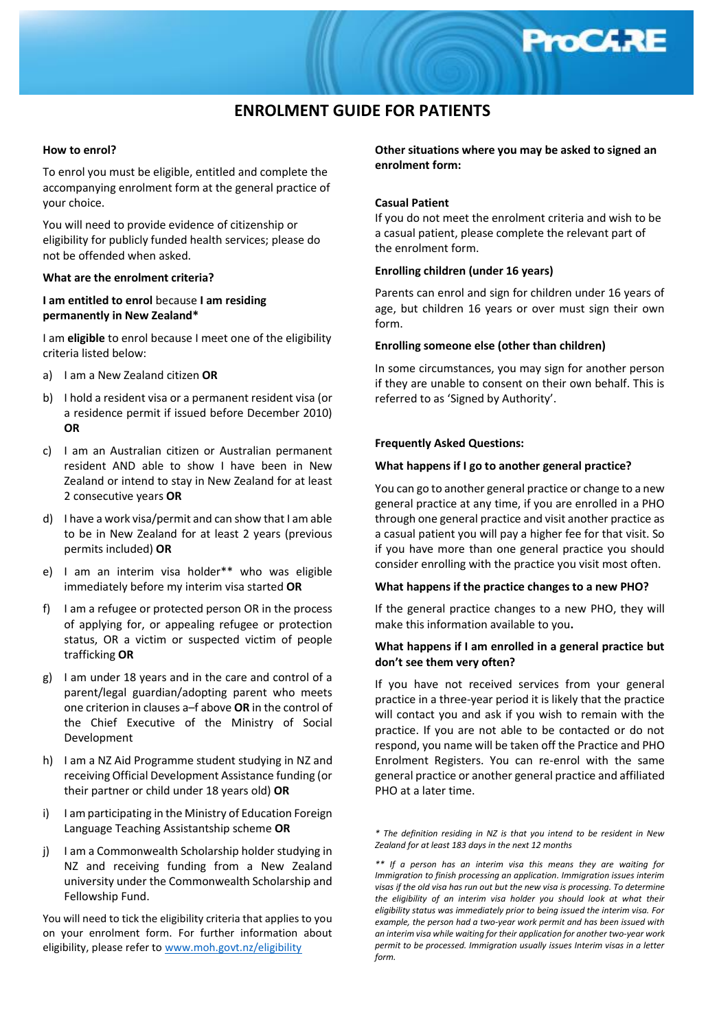# **ENROLMENT GUIDE FOR PATIENTS**

## **How to enrol?**

To enrol you must be eligible, entitled and complete the accompanying enrolment form at the general practice of your choice.

You will need to provide evidence of citizenship or eligibility for publicly funded health services; please do not be offended when asked.

### **What are the enrolment criteria?**

## **I am entitled to enrol** because **I am residing permanently in New Zealand\***

I am **eligible** to enrol because I meet one of the eligibility criteria listed below:

- a) I am a New Zealand citizen **OR**
- b) I hold a resident visa or a permanent resident visa (or a residence permit if issued before December 2010) **OR**
- c) I am an Australian citizen or Australian permanent resident AND able to show I have been in New Zealand or intend to stay in New Zealand for at least 2 consecutive years **OR**
- d) I have a work visa/permit and can show that I am able to be in New Zealand for at least 2 years (previous permits included) **OR**
- e) I am an interim visa holder\*\* who was eligible immediately before my interim visa started **OR**
- f) I am a refugee or protected person OR in the process of applying for, or appealing refugee or protection status, OR a victim or suspected victim of people trafficking **OR**
- g) I am under 18 years and in the care and control of a parent/legal guardian/adopting parent who meets one criterion in clauses a–f above **OR** in the control of the Chief Executive of the Ministry of Social Development
- h) I am a NZ Aid Programme student studying in NZ and receiving Official Development Assistance funding (or their partner or child under 18 years old) **OR**
- i) I am participating in the Ministry of Education Foreign Language Teaching Assistantship scheme **OR**
- j) I am a Commonwealth Scholarship holder studying in NZ and receiving funding from a New Zealand university under the Commonwealth Scholarship and Fellowship Fund.

You will need to tick the eligibility criteria that applies to you on your enrolment form. For further information about eligibility, please refer to [www.moh.govt.nz/eligibility](http://www.moh.govt.nz/eligibility)

**Other situations where you may be asked to signed an enrolment form:**

**ProCA** 

## **Casual Patient**

If you do not meet the enrolment criteria and wish to be a casual patient, please complete the relevant part of the enrolment form.

## **Enrolling children (under 16 years)**

Parents can enrol and sign for children under 16 years of age, but children 16 years or over must sign their own form.

### **Enrolling someone else (other than children)**

In some circumstances, you may sign for another person if they are unable to consent on their own behalf. This is referred to as 'Signed by Authority'.

## **Frequently Asked Questions:**

### **What happens if I go to another general practice?**

You can go to another general practice or change to a new general practice at any time, if you are enrolled in a PHO through one general practice and visit another practice as a casual patient you will pay a higher fee for that visit. So if you have more than one general practice you should consider enrolling with the practice you visit most often.

### **What happens if the practice changes to a new PHO?**

If the general practice changes to a new PHO, they will make this information available to you**.**

## **What happens if I am enrolled in a general practice but don't see them very often?**

If you have not received services from your general practice in a three-year period it is likely that the practice will contact you and ask if you wish to remain with the practice. If you are not able to be contacted or do not respond, you name will be taken off the Practice and PHO Enrolment Registers. You can re-enrol with the same general practice or another general practice and affiliated PHO at a later time.

*<sup>\*</sup> The definition residing in NZ is that you intend to be resident in New Zealand for at least 183 days in the next 12 months* 

*<sup>\*\*</sup> If a person has an interim visa this means they are waiting for Immigration to finish processing an application. Immigration issues interim visas if the old visa has run out but the new visa is processing. To determine the eligibility of an interim visa holder you should look at what their eligibility status was immediately prior to being issued the interim visa. For example, the person had a two-year work permit and has been issued with an interim visa while waiting for their application for another two-year work permit to be processed. Immigration usually issues Interim visas in a letter form.*